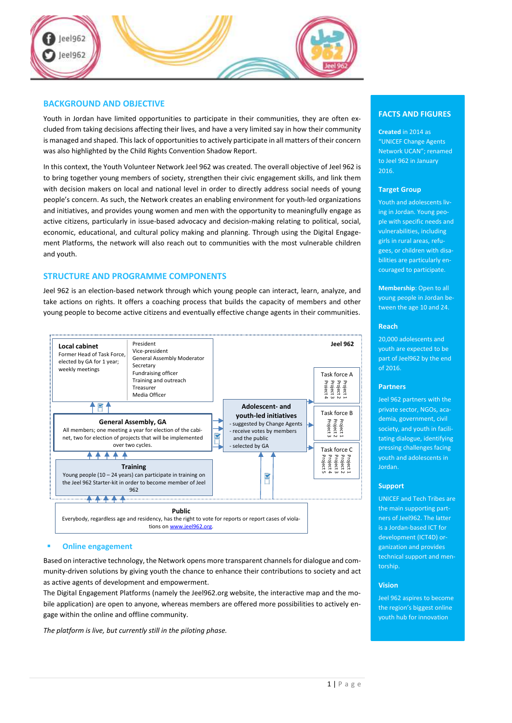

# **BACKGROUND AND OBJECTIVE**

Youth in Jordan have limited opportunities to participate in their communities, they are often excluded from taking decisions affecting their lives, and have a very limited say in how their community is managed and shaped. This lack of opportunities to actively participate in all matters of their concern was also highlighted by the Child Rights Convention Shadow Report.

In this context, the Youth Volunteer Network Jeel 962 was created. The overall objective of Jeel 962 is to bring together young members of society, strengthen their civic engagement skills, and link them with decision makers on local and national level in order to directly address social needs of young people's concern. As such, the Network creates an enabling environment for youth-led organizations and initiatives, and provides young women and men with the opportunity to meaningfully engage as active citizens, particularly in issue‐based advocacy and decision-making relating to political, social, economic, educational, and cultural policy making and planning. Through using the Digital Engagement Platforms, the network will also reach out to communities with the most vulnerable children and youth.

# **STRUCTURE AND PROGRAMME COMPONENTS**

Jeel 962 is an election-based network through which young people can interact, learn, analyze, and take actions on rights. It offers a coaching process that builds the capacity of members and other young people to become active citizens and eventually effective change agents in their communities.



## **Online engagement**

Based on interactive technology, the Network opens more transparent channelsfor dialogue and community-driven solutions by giving youth the chance to enhance their contributions to society and act as active agents of development and empowerment.

The Digital Engagement Platforms (namely the Jeel962.org website, the interactive map and the mobile application) are open to anyone, whereas members are offered more possibilities to actively engage within the online and offline community.

*The platform is live, but currently still in the piloting phase.*

# **FACTS AND FIGURES**

**Created** in 2014 as "UNICEF Change Agents Network UCAN"; renamed to Jeel 962 in January 2016.

### **Target Group**

Youth and adolescents living in Jordan. Young people with specific needs and vulnerabilities, including girls in rural areas, refugees, or children with disabilities are particularly encouraged to participate.

**Membership**: Open to all young people in Jordan between the age 10 and 24.

#### **Reach**

20,000 adolescents and youth are expected to be part of Jeel962 by the end of 2016.

### **Partners**

Jeel 962 partners with the private sector, NGOs, academia, government, civil society, and youth in facilitating dialogue, identifying pressing challenges facing youth and adolescents in Jordan.

### **Support**

UNICEF and Tech Tribes are the main supporting partners of Jeel962. The latter is a Jordan-based ICT for development (ICT4D) organization and provides technical support and mentorship.

## **Vision**

Jeel 962 aspires to become the region's biggest online youth hub for innovation